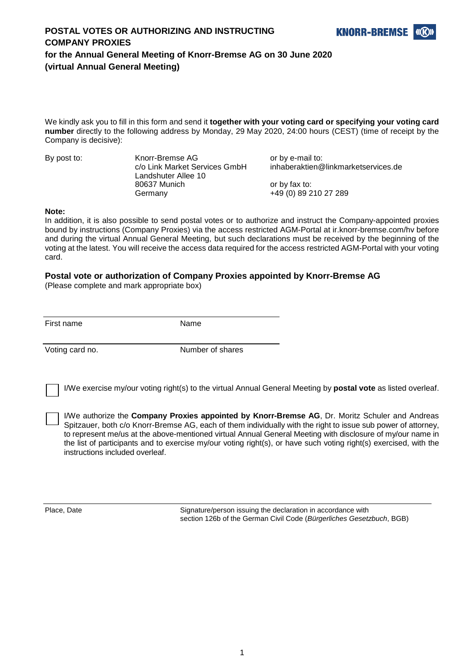

## **POSTAL VOTES OR AUTHORIZING AND INSTRUCTING COMPANY PROXIES for the Annual General Meeting of Knorr-Bremse AG on 30 June 2020 (virtual Annual General Meeting)**

We kindly ask you to fill in this form and send it **together with your voting card or specifying your voting card number** directly to the following address by Monday, 29 May 2020, 24:00 hours (CEST) (time of receipt by the Company is decisive):

By post to: Knorr-Bremse AG or by e-mail to: Landshuter Allee 10 80637 Munich or by fax to: Germany **+49 (0) 89 210 27 289** 

c/o Link Market Services GmbH inhaberaktien@linkmarketservices.de

#### **Note:**

In addition, it is also possible to send postal votes or to authorize and instruct the Company-appointed proxies bound by instructions (Company Proxies) via the access restricted AGM-Portal at ir.knorr-bremse.com/hv before and during the virtual Annual General Meeting, but such declarations must be received by the beginning of the voting at the latest. You will receive the access data required for the access restricted AGM-Portal with your voting card.

#### **Postal vote or authorization of Company Proxies appointed by Knorr-Bremse AG**

(Please complete and mark appropriate box)

First name Name

Voting card no. Number of shares

I/We exercise my/our voting right(s) to the virtual Annual General Meeting by **postal vote** as listed overleaf.

I/We authorize the **Company Proxies appointed by Knorr-Bremse AG**, Dr. Moritz Schuler and Andreas Spitzauer, both c/o Knorr-Bremse AG, each of them individually with the right to issue sub power of attorney, to represent me/us at the above-mentioned virtual Annual General Meeting with disclosure of my/our name in the list of participants and to exercise my/our voting right(s), or have such voting right(s) exercised, with the instructions included overleaf.

Place, Date Signature/person issuing the declaration in accordance with section 126b of the German Civil Code (*Bürgerliches Gesetzbuch*, BGB)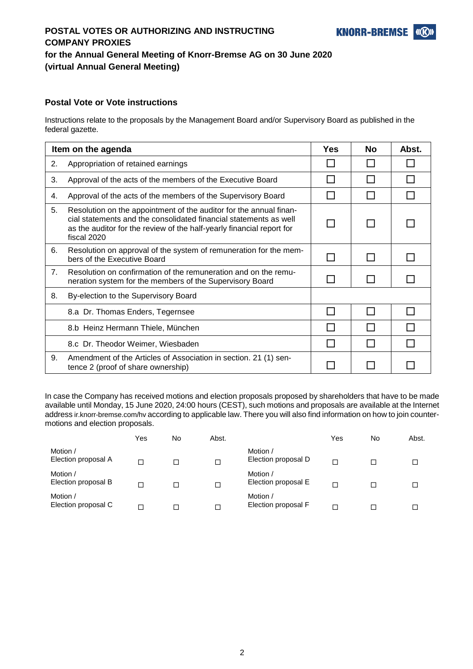# **POSTAL VOTES OR AUTHORIZING AND INSTRUCTING COMPANY PROXIES for the Annual General Meeting of Knorr-Bremse AG on 30 June 2020 (virtual Annual General Meeting)**

# **Postal Vote or Vote instructions**

Instructions relate to the proposals by the Management Board and/or Supervisory Board as published in the federal gazette.

| Item on the agenda |                                                                                                                                                                                                                                 |   | <b>No</b> | Abst. |
|--------------------|---------------------------------------------------------------------------------------------------------------------------------------------------------------------------------------------------------------------------------|---|-----------|-------|
| 2.                 | Appropriation of retained earnings                                                                                                                                                                                              |   |           |       |
| 3.                 | Approval of the acts of the members of the Executive Board                                                                                                                                                                      |   |           |       |
| 4.                 | Approval of the acts of the members of the Supervisory Board                                                                                                                                                                    |   |           |       |
| 5.                 | Resolution on the appointment of the auditor for the annual finan-<br>cial statements and the consolidated financial statements as well<br>as the auditor for the review of the half-yearly financial report for<br>fiscal 2020 |   |           |       |
| 6.                 | Resolution on approval of the system of remuneration for the mem-<br>bers of the Executive Board                                                                                                                                |   |           |       |
| 7.                 | Resolution on confirmation of the remuneration and on the remu-<br>neration system for the members of the Supervisory Board                                                                                                     |   |           |       |
| 8.                 | By-election to the Supervisory Board                                                                                                                                                                                            |   |           |       |
|                    | 8.a Dr. Thomas Enders, Tegernsee                                                                                                                                                                                                | H |           |       |
|                    | 8.b Heinz Hermann Thiele, München                                                                                                                                                                                               |   |           |       |
|                    | 8.c Dr. Theodor Weimer, Wiesbaden                                                                                                                                                                                               |   |           |       |
| 9.                 | Amendment of the Articles of Association in section. 21 (1) sen-<br>tence 2 (proof of share ownership)                                                                                                                          |   |           |       |

In case the Company has received motions and election proposals proposed by shareholders that have to be made available until Monday, 15 June 2020, 24:00 hours (CEST), such motions and proposals are available at the Internet address ir.knorr-bremse.com/hv according to applicable law. There you will also find information on how to join countermotions and election proposals.

|                                 | Yes    | No | Abst. |                                 | Yes    | No | Abst. |
|---------------------------------|--------|----|-------|---------------------------------|--------|----|-------|
| Motion /<br>Election proposal A | □      |    |       | Motion /<br>Election proposal D | $\Box$ |    | ப     |
| Motion /<br>Election proposal B | $\Box$ |    |       | Motion /<br>Election proposal E | $\Box$ |    | ◻     |
| Motion /<br>Election proposal C | □      |    |       | Motion /<br>Election proposal F | П      |    | ப     |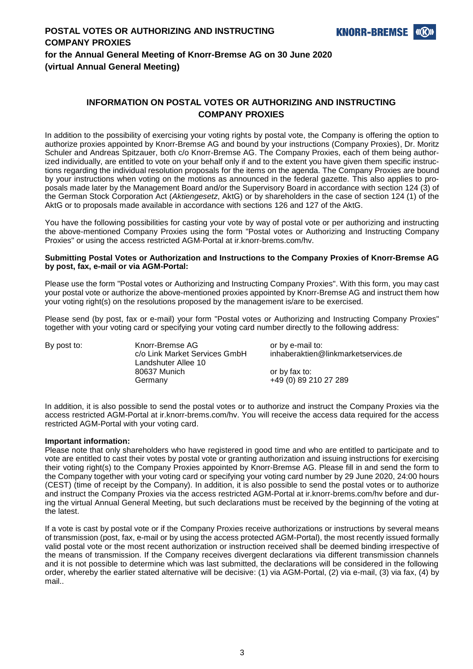#### **INFORMATION ON POSTAL VOTES OR AUTHORIZING AND INSTRUCTING COMPANY PROXIES**

In addition to the possibility of exercising your voting rights by postal vote, the Company is offering the option to authorize proxies appointed by Knorr-Bremse AG and bound by your instructions (Company Proxies), Dr. Moritz Schuler and Andreas Spitzauer, both c/o Knorr-Bremse AG. The Company Proxies, each of them being authorized individually, are entitled to vote on your behalf only if and to the extent you have given them specific instructions regarding the individual resolution proposals for the items on the agenda. The Company Proxies are bound by your instructions when voting on the motions as announced in the federal gazette. This also applies to proposals made later by the Management Board and/or the Supervisory Board in accordance with section 124 (3) of the German Stock Corporation Act (*Aktiengesetz*, AktG) or by shareholders in the case of section 124 (1) of the AktG or to proposals made available in accordance with sections 126 and 127 of the AktG.

You have the following possibilities for casting your vote by way of postal vote or per authorizing and instructing the above-mentioned Company Proxies using the form "Postal votes or Authorizing and Instructing Company Proxies" or using the access restricted AGM-Portal at ir.knorr-brems.com/hv.

#### **Submitting Postal Votes or Authorization and Instructions to the Company Proxies of Knorr-Bremse AG by post, fax, e-mail or via AGM-Portal:**

Please use the form "Postal votes or Authorizing and Instructing Company Proxies". With this form, you may cast your postal vote or authorize the above-mentioned proxies appointed by Knorr-Bremse AG and instruct them how your voting right(s) on the resolutions proposed by the management is/are to be exercised.

Please send (by post, fax or e-mail) your form "Postal votes or Authorizing and Instructing Company Proxies" together with your voting card or specifying your voting card number directly to the following address:

By post to: Knorr-Bremse AG or by e-mail to:<br>c/o Link Market Services GmbH inhaberaktien @ inhaberaktien@linkmarketservices.de Landshuter Allee 10 80637 Munich or by fax to: Germany +49 (0) 89 210 27 289

In addition, it is also possible to send the postal votes or to authorize and instruct the Company Proxies via the access restricted AGM-Portal at ir.knorr-brems.com/hv. You will receive the access data required for the access restricted AGM-Portal with your voting card.

#### **Important information:**

Please note that only shareholders who have registered in good time and who are entitled to participate and to vote are entitled to cast their votes by postal vote or granting authorization and issuing instructions for exercising their voting right(s) to the Company Proxies appointed by Knorr-Bremse AG. Please fill in and send the form to the Company together with your voting card or specifying your voting card number by 29 June 2020, 24:00 hours (CEST) (time of receipt by the Company). In addition, it is also possible to send the postal votes or to authorize and instruct the Company Proxies via the access restricted AGM-Portal at ir.knorr-brems.com/hv before and during the virtual Annual General Meeting, but such declarations must be received by the beginning of the voting at the latest.

If a vote is cast by postal vote or if the Company Proxies receive authorizations or instructions by several means of transmission (post, fax, e-mail or by using the access protected AGM-Portal), the most recently issued formally valid postal vote or the most recent authorization or instruction received shall be deemed binding irrespective of the means of transmission. If the Company receives divergent declarations via different transmission channels and it is not possible to determine which was last submitted, the declarations will be considered in the following order, whereby the earlier stated alternative will be decisive: (1) via AGM-Portal, (2) via e-mail, (3) via fax, (4) by mail..